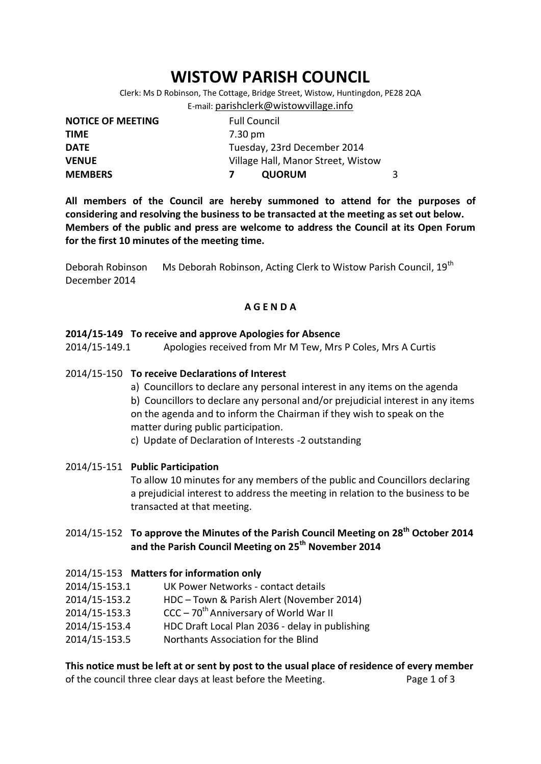# **WISTOW PARISH COUNCIL**

Clerk: Ms D Robinson, The Cottage, Bridge Street, Wistow, Huntingdon, PE28 2QA E-mail: [parishclerk@wistowvillage.info](mailto:parishclerk@wistowvillage.info)

| <b>NOTICE OF MEETING</b> | <b>Full Council</b>                |  |
|--------------------------|------------------------------------|--|
| <b>TIME</b>              | 7.30 pm                            |  |
| <b>DATE</b>              | Tuesday, 23rd December 2014        |  |
| <b>VENUE</b>             | Village Hall, Manor Street, Wistow |  |
| <b>MEMBERS</b>           | <b>QUORUM</b>                      |  |

**All members of the Council are hereby summoned to attend for the purposes of considering and resolving the business to be transacted at the meeting as set out below. Members of the public and press are welcome to address the Council at its Open Forum for the first 10 minutes of the meeting time.**

Deborah Robinson Ms Deborah Robinson, Acting Clerk to Wistow Parish Council, 19<sup>th</sup> December 2014

## **A G E N D A**

#### **2014/15-149 To receive and approve Apologies for Absence**

2014/15-149.1 Apologies received from Mr M Tew, Mrs P Coles, Mrs A Curtis

#### 2014/15-150 **To receive Declarations of Interest**

a) Councillors to declare any personal interest in any items on the agenda

b) Councillors to declare any personal and/or prejudicial interest in any items on the agenda and to inform the Chairman if they wish to speak on the matter during public participation.

c) Update of Declaration of Interests -2 outstanding

2014/15-151 **Public Participation** To allow 10 minutes for any members of the public and Councillors declaring a prejudicial interest to address the meeting in relation to the business to be transacted at that meeting.

# 2014/15-152 **To approve the Minutes of the Parish Council Meeting on 28 th October 2014 and the Parish Council Meeting on 25th November 2014**

2014/15-153 **Matters for information only** 2014/15-153.1 UK Power Networks - contact details 2014/15-153.2 HDC – Town & Parish Alert (November 2014) 2014/15-153.3 CCC –  $70^{th}$  Anniversary of World War II 2014/15-153.4 HDC Draft Local Plan 2036 - delay in publishing 2014/15-153.5 Northants Association for the Blind

**This notice must be left at or sent by post to the usual place of residence of every member**  of the council three clear days at least before the Meeting. Page 1 of 3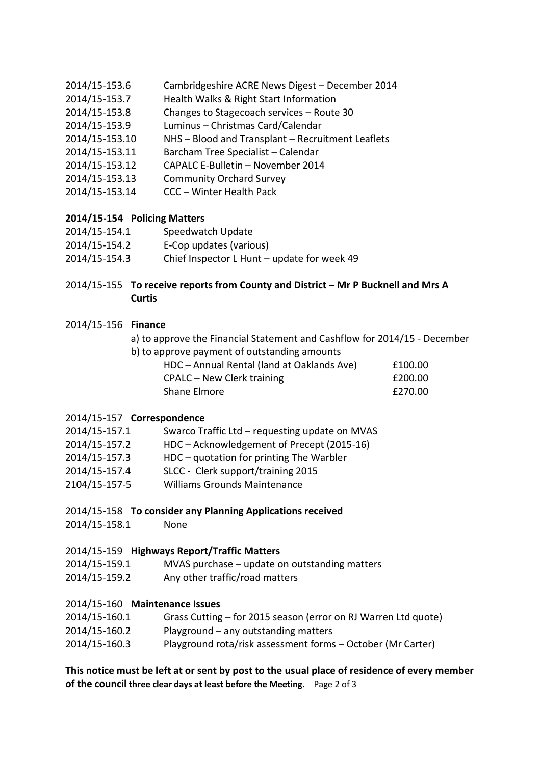- 2014/15-153.6 Cambridgeshire ACRE News Digest December 2014
- 2014/15-153.7 Health Walks & Right Start Information
- 2014/15-153.8 Changes to Stagecoach services Route 30
- 2014/15-153.9 Luminus Christmas Card/Calendar
- 2014/15-153.10 NHS Blood and Transplant Recruitment Leaflets
- 2014/15-153.11 Barcham Tree Specialist Calendar
- 2014/15-153.12 CAPALC E-Bulletin November 2014
- 2014/15-153.13 Community Orchard Survey
- 2014/15-153.14 CCC Winter Health Pack

# **2014/15-154 Policing Matters**

- 2014/15-154.1 Speedwatch Update
- 2014/15-154.2 E-Cop updates (various)
- 2014/15-154.3 Chief Inspector L Hunt update for week 49

# 2014/15-155 **To receive reports from County and District – Mr P Bucknell and Mrs A Curtis**

# 2014/15-156 **Finance**

- a) to approve the Financial Statement and Cashflow for 2014/15 December
- b) to approve payment of outstanding amounts

| HDC - Annual Rental (land at Oaklands Ave) | £100.00 |
|--------------------------------------------|---------|
| CPALC – New Clerk training                 | £200.00 |
| Shane Elmore                               | £270.00 |

# 2014/15-157 **Correspondence**

- 2014/15-157.1 Swarco Traffic Ltd requesting update on MVAS
- 2014/15-157.2 HDC Acknowledgement of Precept (2015-16)
- 2014/15-157.3 HDC quotation for printing The Warbler
- 2014/15-157.4 SLCC Clerk support/training 2015
- 2104/15-157-5 Williams Grounds Maintenance

# 2014/15-158 **To consider any Planning Applications received**

2014/15-158.1 None

# 2014/15-159 **Highways Report/Traffic Matters**

- 2014/15-159.1 MVAS purchase update on outstanding matters
- 2014/15-159.2 Any other traffic/road matters

# 2014/15-160 **Maintenance Issues**

- 2014/15-160.1 Grass Cutting for 2015 season (error on RJ Warren Ltd quote)
- 2014/15-160.2 Playground any outstanding matters
- 2014/15-160.3 Playground rota/risk assessment forms October (Mr Carter)

# **This notice must be left at or sent by post to the usual place of residence of every member of the council three clear days at least before the Meeting.** Page 2 of 3